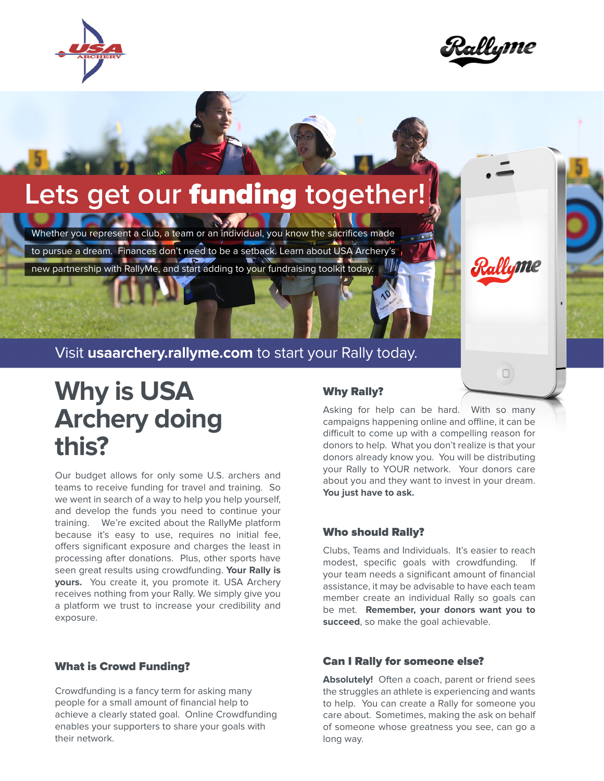



Rallyme

 $\Box$ 

# **Lets get our** funding **together!**

Whether you represent a club, a team or an individual, you know the sacrifices made to pursue a dream. Finances don't need to be a setback. Learn about USA Archery's new partnership with RallyMe, and start adding to your fundraising toolkit today.

Visit **[usaarchery.rallyme.com](http://usaarchery.rallyme.com)** to start your Rally today.

# **Why is USA Archery doing this?**

Our budget allows for only some U.S. archers and teams to receive funding for travel and training. So we went in search of a way to help you help yourself, and develop the funds you need to continue your training. We're excited about the RallyMe platform because it's easy to use, requires no initial fee, offers significant exposure and charges the least in processing after donations. Plus, other sports have seen great results using crowdfunding. **Your Rally is yours.** You create it, you promote it. USA Archery receives nothing from your Rally. We simply give you a platform we trust to increase your credibility and exposure.

## What is Crowd Funding?

Crowdfunding is a fancy term for asking many people for a small amount of financial help to achieve a clearly stated goal. Online Crowdfunding enables your supporters to share your goals with their network.

### Why Rally?

Asking for help can be hard. With so many campaigns happening online and offline, it can be difficult to come up with a compelling reason for donors to help. What you don't realize is that your donors already know you. You will be distributing your Rally to YOUR network. Your donors care about you and they want to invest in your dream. **You just have to ask.**

## Who should Rally?

Clubs, Teams and Individuals. It's easier to reach modest, specific goals with crowdfunding. your team needs a significant amount of financial assistance, it may be advisable to have each team member create an individual Rally so goals can be met. **Remember, your donors want you to succeed**, so make the goal achievable.

## Can I Rally for someone else?

**Absolutely!** Often a coach, parent or friend sees the struggles an athlete is experiencing and wants to help. You can create a Rally for someone you care about. Sometimes, making the ask on behalf of someone whose greatness you see, can go a long way.